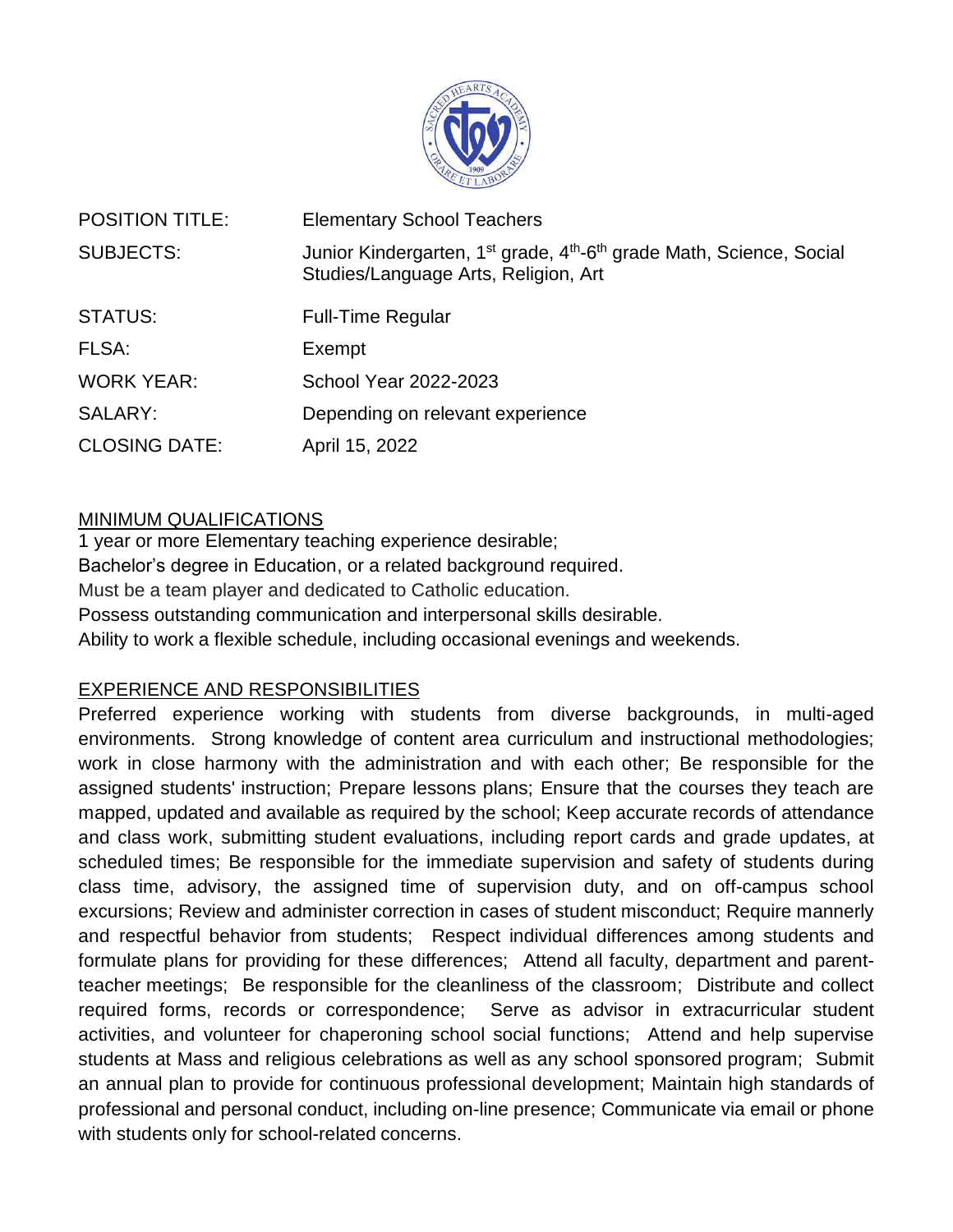

| <b>POSITION TITLE:</b> | <b>Elementary School Teachers</b>                                                                                                                |
|------------------------|--------------------------------------------------------------------------------------------------------------------------------------------------|
| <b>SUBJECTS:</b>       | Junior Kindergarten, 1 <sup>st</sup> grade, 4 <sup>th</sup> -6 <sup>th</sup> grade Math, Science, Social<br>Studies/Language Arts, Religion, Art |
| STATUS:                | <b>Full-Time Regular</b>                                                                                                                         |
| FLSA:                  | Exempt                                                                                                                                           |
| <b>WORK YEAR:</b>      | <b>School Year 2022-2023</b>                                                                                                                     |
| SALARY:                | Depending on relevant experience                                                                                                                 |
| <b>CLOSING DATE:</b>   | April 15, 2022                                                                                                                                   |

## MINIMUM QUALIFICATIONS

1 year or more Elementary teaching experience desirable; Bachelor's degree in Education, or a related background required. Must be a team player and dedicated to Catholic education. Possess outstanding communication and interpersonal skills desirable. Ability to work a flexible schedule, including occasional evenings and weekends.

## EXPERIENCE AND RESPONSIBILITIES

Preferred experience working with students from diverse backgrounds, in multi-aged environments. Strong knowledge of content area curriculum and instructional methodologies; work in close harmony with the administration and with each other; Be responsible for the assigned students' instruction; Prepare lessons plans; Ensure that the courses they teach are mapped, updated and available as required by the school; Keep accurate records of attendance and class work, submitting student evaluations, including report cards and grade updates, at scheduled times; Be responsible for the immediate supervision and safety of students during class time, advisory, the assigned time of supervision duty, and on off-campus school excursions; Review and administer correction in cases of student misconduct; Require mannerly and respectful behavior from students; Respect individual differences among students and formulate plans for providing for these differences; Attend all faculty, department and parentteacher meetings; Be responsible for the cleanliness of the classroom; Distribute and collect required forms, records or correspondence; Serve as advisor in extracurricular student activities, and volunteer for chaperoning school social functions; Attend and help supervise students at Mass and religious celebrations as well as any school sponsored program; Submit an annual plan to provide for continuous professional development; Maintain high standards of professional and personal conduct, including on-line presence; Communicate via email or phone with students only for school-related concerns.